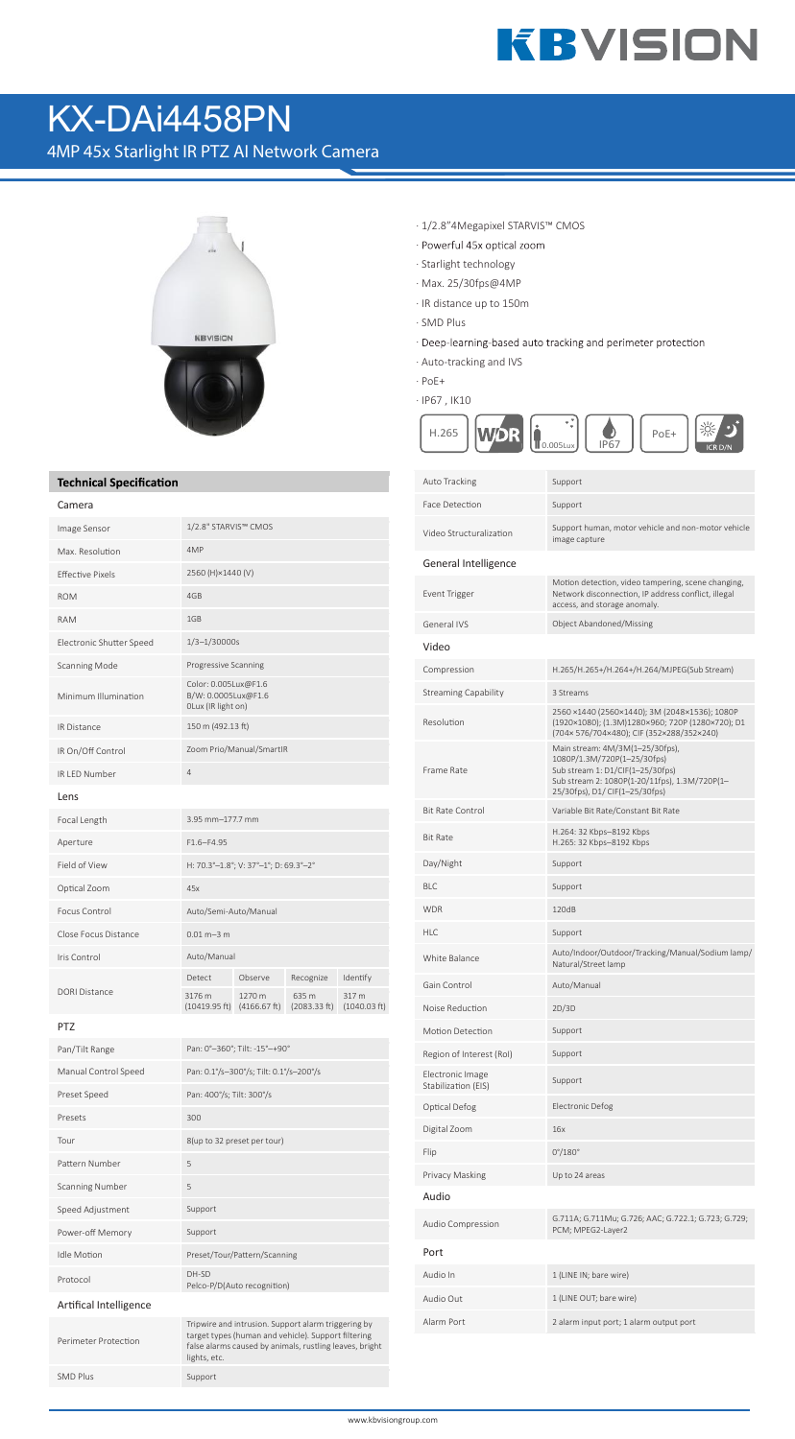# **KBVISION**

### KX-DAi4458PN

4MP 45x Starlight IR PTZ AI Network Camera



#### **Technical Specification**

| Camera                   |                                                                   |                        |                       |                       |  |
|--------------------------|-------------------------------------------------------------------|------------------------|-----------------------|-----------------------|--|
| Image Sensor             | 1/2.8" STARVIS™ CMOS                                              |                        |                       |                       |  |
| Max. Resolution          | 4MP                                                               |                        |                       |                       |  |
| <b>Effective Pixels</b>  | 2560 (H)×1440 (V)                                                 |                        |                       |                       |  |
| <b>ROM</b>               | 4GB                                                               |                        |                       |                       |  |
| <b>RAM</b>               | 1GB                                                               |                        |                       |                       |  |
| Electronic Shutter Speed | $1/3 - 1/30000s$                                                  |                        |                       |                       |  |
| <b>Scanning Mode</b>     | Progressive Scanning                                              |                        |                       |                       |  |
| Minimum Illumination     | Color: 0.005Lux@F1.6<br>B/W: 0.0005Lux@F1.6<br>OLux (IR light on) |                        |                       |                       |  |
| <b>IR Distance</b>       | 150 m (492.13 ft)                                                 |                        |                       |                       |  |
| IR On/Off Control        | Zoom Prio/Manual/SmartIR                                          |                        |                       |                       |  |
| IR I FD Number           | $\overline{4}$                                                    |                        |                       |                       |  |
| Lens                     |                                                                   |                        |                       |                       |  |
| Focal Length             | 3.95 mm-177.7 mm                                                  |                        |                       |                       |  |
| Aperture                 | $F1.6 - F4.95$                                                    |                        |                       |                       |  |
| Field of View            | H: 70.3°-1.8°; V: 37°-1°; D: 69.3°-2°                             |                        |                       |                       |  |
| Optical Zoom             | 45x                                                               |                        |                       |                       |  |
| Focus Control            | Auto/Semi-Auto/Manual                                             |                        |                       |                       |  |
| Close Focus Distance     | $0.01 m - 3 m$                                                    |                        |                       |                       |  |
| Iris Control             | Auto/Manual                                                       |                        |                       |                       |  |
| <b>DORI Distance</b>     | Detect                                                            | Observe                | Recognize             | Identify              |  |
|                          | 3176 m<br>(10419.95 ft)                                           | 1270 m<br>(4166.67 ft) | 635 m<br>(2083.33 ft) | 317 m<br>(1040.03 ft) |  |
|                          |                                                                   |                        |                       |                       |  |

PTZ

| Pan/Tilt Range         | Pan: 0°-360°; Tilt: -15°-+90°                                                                                                                                                         |
|------------------------|---------------------------------------------------------------------------------------------------------------------------------------------------------------------------------------|
| Manual Control Speed   | Pan: 0.1%-300%; Tilt: 0.1%-200%                                                                                                                                                       |
| Preset Speed           | Pan: 400°/s; Tilt: 300°/s                                                                                                                                                             |
| Presets                | 300                                                                                                                                                                                   |
| Tour                   | 8(up to 32 preset per tour)                                                                                                                                                           |
| Pattern Number         | 5                                                                                                                                                                                     |
| <b>Scanning Number</b> | 5                                                                                                                                                                                     |
| Speed Adjustment       | Support                                                                                                                                                                               |
| Power-off Memory       | Support                                                                                                                                                                               |
| <b>Idle Motion</b>     | Preset/Tour/Pattern/Scanning                                                                                                                                                          |
| Protocol               | DH-SD<br>Pelco-P/D(Auto recognition)                                                                                                                                                  |
| Artifical Intelligence |                                                                                                                                                                                       |
| Perimeter Protection   | Tripwire and intrusion. Support alarm triggering by<br>target types (human and vehicle). Support filtering<br>false alarms caused by animals, rustling leaves, bright<br>lights, etc. |
| SMD Plus               | Support                                                                                                                                                                               |

- · 1/2.8"4Megapixel STARVIS™ CMOS
- · Powerful 45x optical zoom
- · Starlight technology
- · Max. 25/30fps@4MP
- · IR distance up to 150m
- · SMD Plus
- · Deep-learning-based auto tracking and perimeter protection
- · Auto-tracking and IVS
- · PoE+
- · IP67 , IK10



| Auto Tracking                           | Support                                                                                                                                                                               |
|-----------------------------------------|---------------------------------------------------------------------------------------------------------------------------------------------------------------------------------------|
| Face Detection                          | Support                                                                                                                                                                               |
| Video Structuralization                 | Support human, motor vehicle and non-motor vehicle<br>image capture                                                                                                                   |
| General Intelligence                    |                                                                                                                                                                                       |
| <b>Event Trigger</b>                    | Motion detection, video tampering, scene changing,<br>Network disconnection, IP address conflict, illegal<br>access, and storage anomaly.                                             |
| General IVS                             | Object Abandoned/Missing                                                                                                                                                              |
| Video                                   |                                                                                                                                                                                       |
| Compression                             | H.265/H.265+/H.264+/H.264/MJPEG(Sub Stream)                                                                                                                                           |
| Streaming Capability                    | 3 Streams                                                                                                                                                                             |
| Resolution                              | 2560 ×1440 (2560×1440); 3M (2048×1536); 1080P<br>(1920×1080); (1.3M)1280×960; 720P (1280×720); D1<br>(704×576/704×480); CIF (352×288/352×240)                                         |
| Frame Rate                              | Main stream: 4M/3M(1-25/30fps),<br>1080P/1.3M/720P(1-25/30fps)<br>Sub stream 1: D1/CIF(1-25/30fps)<br>Sub stream 2: 1080P(1-20/11fps), 1.3M/720P(1-<br>25/30fps), D1/ CIF(1-25/30fps) |
| <b>Bit Rate Control</b>                 | Variable Bit Rate/Constant Bit Rate                                                                                                                                                   |
| <b>Bit Rate</b>                         | H.264: 32 Kbps-8192 Kbps<br>H.265: 32 Kbps-8192 Kbps                                                                                                                                  |
| Day/Night                               | Support                                                                                                                                                                               |
| BLC                                     | Support                                                                                                                                                                               |
| <b>WDR</b>                              | 120dB                                                                                                                                                                                 |
| HLC                                     | Support                                                                                                                                                                               |
| White Balance                           | Auto/Indoor/Outdoor/Tracking/Manual/Sodium lamp/<br>Natural/Street lamp                                                                                                               |
| Gain Control                            | Auto/Manual                                                                                                                                                                           |
| Noise Reduction                         | 2D/3D                                                                                                                                                                                 |
| Motion Detection                        | Support                                                                                                                                                                               |
| Region of Interest (RoI)                | Support                                                                                                                                                                               |
| Electronic Image<br>Stabilization (EIS) | Support                                                                                                                                                                               |
| Optical Defog                           | <b>Electronic Defog</b>                                                                                                                                                               |
| Digital Zoom                            | 16x                                                                                                                                                                                   |
| Flip                                    | $0^{\circ}/180^{\circ}$                                                                                                                                                               |
| Privacy Masking                         | Up to 24 areas                                                                                                                                                                        |
| Audio                                   |                                                                                                                                                                                       |
| Audio Compression                       | G.711A; G.711Mu; G.726; AAC; G.722.1; G.723; G.729;<br>PCM; MPEG2-Layer2                                                                                                              |
| Port                                    |                                                                                                                                                                                       |
| Audio In                                | 1 (LINE IN; bare wire)                                                                                                                                                                |
| Audio Out                               | 1 (LINE OUT; bare wire)                                                                                                                                                               |
| Alarm Port                              | 2 alarm input port; 1 alarm output port                                                                                                                                               |
|                                         |                                                                                                                                                                                       |